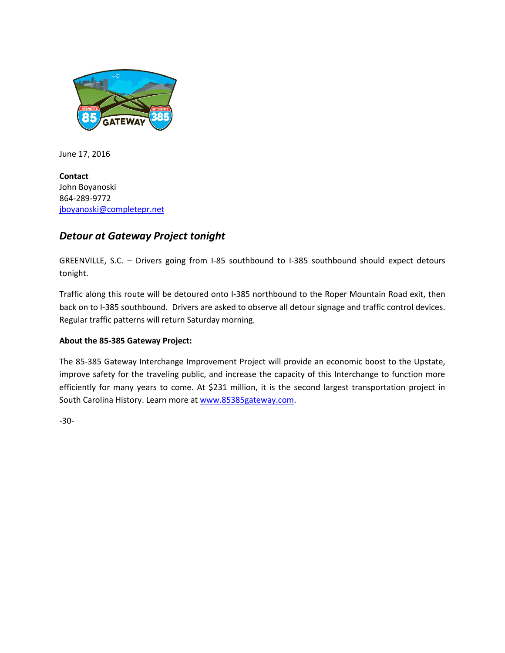

June 17, 2016

**Contact** John Boyanoski 864-289-9772 [jboyanoski@completepr.net](mailto:jboyanoski@completepr.net)

## *Detour at Gateway Project tonight*

GREENVILLE, S.C. – Drivers going from I-85 southbound to I-385 southbound should expect detours tonight.

Traffic along this route will be detoured onto I-385 northbound to the Roper Mountain Road exit, then back on to I-385 southbound. Drivers are asked to observe all detour signage and traffic control devices. Regular traffic patterns will return Saturday morning.

## **About the 85-385 Gateway Project:**

The 85-385 Gateway Interchange Improvement Project will provide an economic boost to the Upstate, improve safety for the traveling public, and increase the capacity of this Interchange to function more efficiently for many years to come. At \$231 million, it is the second largest transportation project in South Carolina History. Learn more a[t www.85385gateway.com.](http://www.85385gateway.com/)

-30-